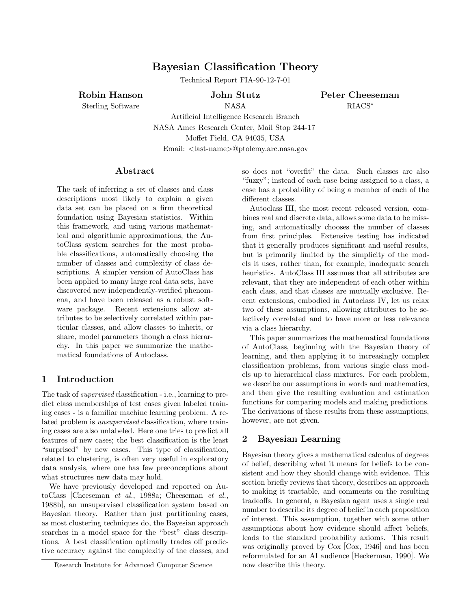# **Bayesian Classification Theory**

Technical Report FIA-90-12-7-01

**Robin Hanson**

Sterling Software

**John Stutz** NASA

**Peter Cheeseman** RIACS∗

Artificial Intelligence Research Branch NASA Ames Research Center, Mail Stop 244-17 Moffet Field, CA 94035, USA Email: <last-name>@ptolemy.arc.nasa.gov

# **Abstract**

The task of inferring a set of classes and class descriptions most likely to explain a given data set can be placed on a firm theoretical foundation using Bayesian statistics. Within this framework, and using various mathematical and algorithmic approximations, the AutoClass system searches for the most probable classifications, automatically choosing the number of classes and complexity of class descriptions. A simpler version of AutoClass has been applied to many large real data sets, have discovered new independently-verified phenomena, and have been released as a robust software package. Recent extensions allow attributes to be selectively correlated within particular classes, and allow classes to inherit, or share, model parameters though a class hierarchy. In this paper we summarize the mathematical foundations of Autoclass.

# **1 Introduction**

The task of *supervised* classification - i.e., learning to predict class memberships of test cases given labeled training cases - is a familiar machine learning problem. A related problem is *unsupervised* classification, where training cases are also unlabeled. Here one tries to predict all features of new cases; the best classification is the least "surprised" by new cases. This type of classification, related to clustering, is often very useful in exploratory data analysis, where one has few preconceptions about what structures new data may hold.

We have previously developed and reported on AutoClass [Cheeseman *et al.*, 1988a; Cheeseman *et al.*, 1988b], an unsupervised classification system based on Bayesian theory. Rather than just partitioning cases, as most clustering techniques do, the Bayesian approach searches in a model space for the "best" class descriptions. A best classification optimally trades off predictive accuracy against the complexity of the classes, and so does not "overfit" the data. Such classes are also "fuzzy"; instead of each case being assigned to a class, a case has a probability of being a member of each of the different classes.

Autoclass III, the most recent released version, combines real and discrete data, allows some data to be missing, and automatically chooses the number of classes from first principles. Extensive testing has indicated that it generally produces significant and useful results, but is primarily limited by the simplicity of the models it uses, rather than, for example, inadequate search heuristics. AutoClass III assumes that all attributes are relevant, that they are independent of each other within each class, and that classes are mutually exclusive. Recent extensions, embodied in Autoclass IV, let us relax two of these assumptions, allowing attributes to be selectively correlated and to have more or less relevance via a class hierarchy.

This paper summarizes the mathematical foundations of AutoClass, beginning with the Bayesian theory of learning, and then applying it to increasingly complex classification problems, from various single class models up to hierarchical class mixtures. For each problem, we describe our assumptions in words and mathematics, and then give the resulting evaluation and estimation functions for comparing models and making predictions. The derivations of these results from these assumptions, however, are not given.

# **2 Bayesian Learning**

Bayesian theory gives a mathematical calculus of degrees of belief, describing what it means for beliefs to be consistent and how they should change with evidence. This section briefly reviews that theory, describes an approach to making it tractable, and comments on the resulting tradeoffs. In general, a Bayesian agent uses a single real number to describe its degree of belief in each proposition of interest. This assumption, together with some other assumptions about how evidence should affect beliefs, leads to the standard probability axioms. This result was originally proved by Cox [Cox, 1946] and has been reformulated for an AI audience [Heckerman, 1990]. We now describe this theory.

Research Institute for Advanced Computer Science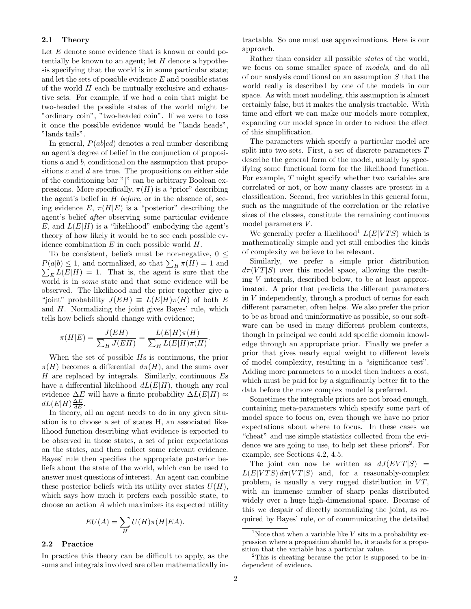#### **2.1 Theory**

Let E denote some evidence that is known or could potentially be known to an agent; let  $H$  denote a hypothesis specifying that the world is in some particular state; and let the sets of possible evidence  $E$  and possible states of the world  $H$  each be mutually exclusive and exhaustive sets. For example, if we had a coin that might be two-headed the possible states of the world might be "ordinary coin", "two-headed coin". If we were to toss it once the possible evidence would be "lands heads", "lands tails".

In general,  $P(ab|cd)$  denotes a real number describing an agent's degree of belief in the conjunction of propositions a and b, conditional on the assumption that propositions  $c$  and  $d$  are true. The propositions on either side of the conditioning bar "|" can be arbitrary Boolean expressions. More specifically,  $\pi(H)$  is a "prior" describing the agent's belief in H *before*, or in the absence of, seeing evidence  $E, \pi(H|E)$  is a "posterior" describing the agent's belief *after* observing some particular evidence E, and  $L(E|H)$  is a "likelihood" embodying the agent's theory of how likely it would be to see each possible evidence combination  $E$  in each possible world  $H$ .

To be consistent, beliefs must be non-negative,  $0 \leq$  $P(a|b) \leq 1$ , and normalized, so that  $\sum_H \pi(H) = 1$  and  $\sum_{E} L(E|H) = 1$ . That is, the agent is sure that the world is in *some* state and that some evidence will be observed. The likelihood and the prior together give a "joint" probability  $J(EH) \equiv L(E|H)\pi(H)$  of both E and H. Normalizing the joint gives Bayes' rule, which tells how beliefs should change with evidence;

$$
\pi(H|E) = \frac{J(EH)}{\sum_H J(EH)} = \frac{L(E|H)\pi(H)}{\sum_H L(E|H)\pi(H)}.
$$

When the set of possible Hs is continuous, the prior  $\pi(H)$  becomes a differential  $d\pi(H)$ , and the sums over  $H$  are replaced by integrals. Similarly, continuous  $E$ s have a differential likelihood  $dL(E|H)$ , though any real evidence  $\Delta E$  will have a finite probability  $\Delta L(E|H) \approx$  $dL(E|H) \frac{\Delta E}{dE}$ .

In theory, all an agent needs to do in any given situation is to choose a set of states H, an associated likelihood function describing what evidence is expected to be observed in those states, a set of prior expectations on the states, and then collect some relevant evidence. Bayes' rule then specifies the appropriate posterior beliefs about the state of the world, which can be used to answer most questions of interest. An agent can combine these posterior beliefs with its utility over states  $U(H)$ , which says how much it prefers each possible state, to choose an action A which maximizes its expected utility

$$
EU(A) = \sum_{H} U(H)\pi(H|EA).
$$

# **2.2 Practice**

In practice this theory can be difficult to apply, as the sums and integrals involved are often mathematically intractable. So one must use approximations. Here is our approach.

Rather than consider all possible *states* of the world, we focus on some smaller space of *models*, and do all of our analysis conditional on an assumption S that the world really is described by one of the models in our space. As with most modeling, this assumption is almost certainly false, but it makes the analysis tractable. With time and effort we can make our models more complex, expanding our model space in order to reduce the effect of this simplification.

The parameters which specify a particular model are split into two sets. First, a set of discrete parameters T describe the general form of the model, usually by specifying some functional form for the likelihood function. For example, T might specify whether two variables are correlated or not, or how many classes are present in a classification. Second, free variables in this general form, such as the magnitude of the correlation or the relative sizes of the classes, constitute the remaining continuous model parameters V.

We generally prefer a likelihood<sup>1</sup>  $L(E|VTS)$  which is mathematically simple and yet still embodies the kinds of complexity we believe to be relevant.

Similarly, we prefer a simple prior distribution  $d\pi(VT|S)$  over this model space, allowing the resulting V integrals, described below, to be at least approximated. A prior that predicts the different parameters in V independently, through a product of terms for each different parameter, often helps. We also prefer the prior to be as broad and uninformative as possible, so our software can be used in many different problem contexts, though in principal we could add specific domain knowledge through an appropriate prior. Finally we prefer a prior that gives nearly equal weight to different levels of model complexity, resulting in a "significance test". Adding more parameters to a model then induces a cost, which must be paid for by a significantly better fit to the data before the more complex model is preferred.

Sometimes the integrable priors are not broad enough, containing meta-parameters which specify some part of model space to focus on, even though we have no prior expectations about where to focus. In these cases we "cheat" and use simple statistics collected from the evidence we are going to use, to help set these priors<sup>2</sup>. For example, see Sections 4.2, 4.5.

The joint can now be written as  $dJ(EVT|S)$  =  $L(E|VTS) d\pi(VT|S)$  and, for a reasonably-complex problem, is usually a very rugged distribution in  $VT$ , with an immense number of sharp peaks distributed widely over a huge high-dimensional space. Because of this we despair of directly normalizing the joint, as required by Bayes' rule, or of communicating the detailed

<sup>&</sup>lt;sup>1</sup>Note that when a variable like V sits in a probability expression where a proposition should be, it stands for a proposition that the variable has a particular value.

<sup>2</sup>This is cheating because the prior is supposed to be independent of evidence.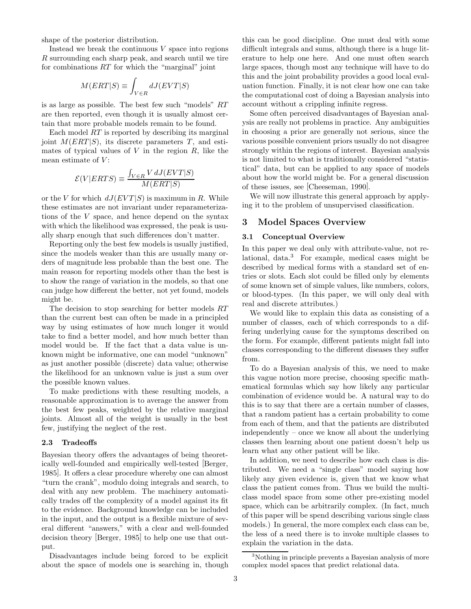shape of the posterior distribution.

Instead we break the continuous  $V$  space into regions R surrounding each sharp peak, and search until we tire for combinations  $RT$  for which the "marginal" joint

$$
M(ERT|S) \equiv \int_{V \in R} dJ(EVT|S)
$$

is as large as possible. The best few such "models" RT are then reported, even though it is usually almost certain that more probable models remain to be found.

Each model RT is reported by describing its marginal joint  $M(ERT|S)$ , its discrete parameters T, and estimates of typical values of  $V$  in the region  $R$ , like the mean estimate of  $V$ :

$$
\mathcal{E}(V|ERTS) \equiv \frac{\int_{V \in R} V dJ(EVT|S)}{M(ERT|S)}
$$

or the V for which  $dJ(EVT|S)$  is maximum in R. While these estimates are not invariant under reparameterizations of the V space, and hence depend on the syntax with which the likelihood was expressed, the peak is usually sharp enough that such differences don't matter.

Reporting only the best few models is usually justified, since the models weaker than this are usually many orders of magnitude less probable than the best one. The main reason for reporting models other than the best is to show the range of variation in the models, so that one can judge how different the better, not yet found, models might be.

The decision to stop searching for better models RT than the current best can often be made in a principled way by using estimates of how much longer it would take to find a better model, and how much better than model would be. If the fact that a data value is unknown might be informative, one can model "unknown" as just another possible (discrete) data value; otherwise the likelihood for an unknown value is just a sum over the possible known values.

To make predictions with these resulting models, a reasonable approximation is to average the answer from the best few peaks, weighted by the relative marginal joints. Almost all of the weight is usually in the best few, justifying the neglect of the rest.

## **2.3 Tradeoffs**

Bayesian theory offers the advantages of being theoretically well-founded and empirically well-tested [Berger, 1985]. It offers a clear procedure whereby one can almost "turn the crank", modulo doing integrals and search, to deal with any new problem. The machinery automatically trades off the complexity of a model against its fit to the evidence. Background knowledge can be included in the input, and the output is a flexible mixture of several different "answers," with a clear and well-founded decision theory [Berger, 1985] to help one use that output.

Disadvantages include being forced to be explicit about the space of models one is searching in, though this can be good discipline. One must deal with some difficult integrals and sums, although there is a huge literature to help one here. And one must often search large spaces, though most any technique will have to do this and the joint probability provides a good local evaluation function. Finally, it is not clear how one can take the computational cost of doing a Bayesian analysis into account without a crippling infinite regress.

Some often perceived disadvantages of Bayesian analysis are really not problems in practice. Any ambiguities in choosing a prior are generally not serious, since the various possible convenient priors usually do not disagree strongly within the regions of interest. Bayesian analysis is not limited to what is traditionally considered "statistical" data, but can be applied to any space of models about how the world might be. For a general discussion of these issues, see [Cheeseman, 1990].

We will now illustrate this general approach by applying it to the problem of unsupervised classification.

# **3 Model Spaces Overview**

### **3.1 Conceptual Overview**

In this paper we deal only with attribute-value, not relational, data. $3$  For example, medical cases might be described by medical forms with a standard set of entries or slots. Each slot could be filled only by elements of some known set of simple values, like numbers, colors, or blood-types. (In this paper, we will only deal with real and discrete attributes.)

We would like to explain this data as consisting of a number of classes, each of which corresponds to a differing underlying cause for the symptoms described on the form. For example, different patients might fall into classes corresponding to the different diseases they suffer from.

To do a Bayesian analysis of this, we need to make this vague notion more precise, choosing specific mathematical formulas which say how likely any particular combination of evidence would be. A natural way to do this is to say that there are a certain number of classes, that a random patient has a certain probability to come from each of them, and that the patients are distributed independently – once we know all about the underlying classes then learning about one patient doesn't help us learn what any other patient will be like.

In addition, we need to describe how each class is distributed. We need a "single class" model saying how likely any given evidence is, given that we know what class the patient comes from. Thus we build the multiclass model space from some other pre-existing model space, which can be arbitrarily complex. (In fact, much of this paper will be spend describing various single class models.) In general, the more complex each class can be, the less of a need there is to invoke multiple classes to explain the variation in the data.

<sup>3</sup>Nothing in principle prevents a Bayesian analysis of more complex model spaces that predict relational data.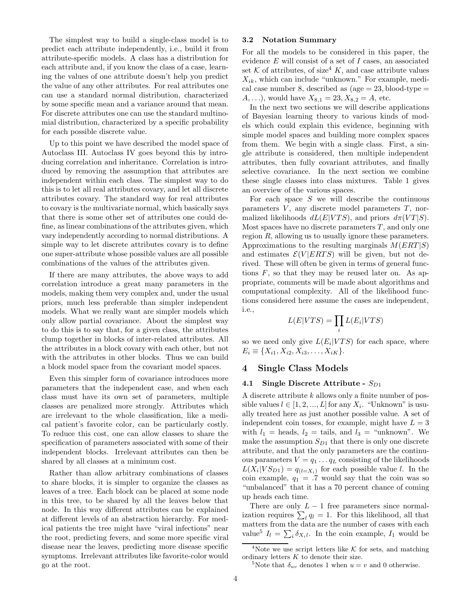The simplest way to build a single-class model is to predict each attribute independently, i.e., build it from attribute-specific models. A class has a distribution for each attribute and, if you know the class of a case, learning the values of one attribute doesn't help you predict the value of any other attributes. For real attributes one can use a standard normal distribution, characterized by some specific mean and a variance around that mean. For discrete attributes one can use the standard multinomial distribution, characterized by a specific probability for each possible discrete value.

Up to this point we have described the model space of Autoclass III. Autoclass IV goes beyond this by introducing correlation and inheritance. Correlation is introduced by removing the assumption that attributes are independent within each class. The simplest way to do this is to let all real attributes covary, and let all discrete attributes covary. The standard way for real attributes to covary is the multivariate normal, which basically says that there is some other set of attributes one could define, as linear combinations of the attributes given, which vary independently according to normal distributions. A simple way to let discrete attributes covary is to define one super-attribute whose possible values are all possible combinations of the values of the attributes given.

If there are many attributes, the above ways to add correlation introduce a great many parameters in the models, making them very complex and, under the usual priors, much less preferable than simpler independent models. What we really want are simpler models which only allow partial covariance. About the simplest way to do this is to say that, for a given class, the attributes clump together in blocks of inter-related attributes. All the attributes in a block covary with each other, but not with the attributes in other blocks. Thus we can build a block model space from the covariant model spaces.

Even this simpler form of covariance introduces more parameters that the independent case, and when each class must have its own set of parameters, multiple classes are penalized more strongly. Attributes which are irrelevant to the whole classification, like a medical patient's favorite color, can be particularly costly. To reduce this cost, one can allow classes to share the specification of parameters associated with some of their independent blocks. Irrelevant attributes can then be shared by all classes at a minimum cost.

Rather than allow arbitrary combinations of classes to share blocks, it is simpler to organize the classes as leaves of a tree. Each block can be placed at some node in this tree, to be shared by all the leaves below that node. In this way different attributes can be explained at different levels of an abstraction hierarchy. For medical patients the tree might have "viral infections" near the root, predicting fevers, and some more specific viral disease near the leaves, predicting more disease specific symptoms. Irrelevant attributes like favorite-color would go at the root.

#### **3.2 Notation Summary**

For all the models to be considered in this paper, the evidence E will consist of a set of I cases, an associated set K of attributes, of size<sup>4</sup> K, and case attribute values  $X_{ik}$ , which can include "unknown." For example, medical case number 8, described as  $(age = 23, blood-type =$  $A, \ldots$ , would have  $X_{8,1} = 23, X_{8,2} = A$ , etc.

In the next two sections we will describe applications of Bayesian learning theory to various kinds of models which could explain this evidence, beginning with simple model spaces and building more complex spaces from them. We begin with a single class. First, a single attribute is considered, then multiple independent attributes, then fully covariant attributes, and finally selective covariance. In the next section we combine these single classes into class mixtures. Table 1 gives an overview of the various spaces.

For each space  $S$  we will describe the continuous parameters  $V$ , any discrete model parameters  $T$ , normalized likelihoods  $dL(E|VTS)$ , and priors  $d\pi(VT|S)$ . Most spaces have no discrete parameters  $T$ , and only one region R, allowing us to usually ignore these parameters. Approximations to the resulting marginals  $M(ERT|S)$ and estimates  $\mathcal{E}(V|ERTS)$  will be given, but not derived. These will often be given in terms of general functions  $F$ , so that they may be reused later on. As appropriate, comments will be made about algorithms and computational complexity. All of the likelihood functions considered here assume the cases are independent, i.e.,

$$
L(E|VTS) = \prod_i L(E_i|VTS)
$$

so we need only give  $L(E_i|VTS)$  for each space, where  $E_i \equiv \{X_{i1}, X_{i2}, X_{i3}, \ldots, X_{iK}\}.$ 

# **4 Single Class Models**

### **4.1 Single Discrete Attribute -**  $S_{D1}$

A discrete attribute k allows only a finite number of possible values  $l \in [1, 2, ..., L]$  for any  $X_i$ . "Unknown" is usually treated here as just another possible value. A set of independent coin tosses, for example, might have  $L = 3$ with  $l_1$  = heads,  $l_2$  = tails, and  $l_3$  = "unknown". We make the assumption  $S_{D1}$  that there is only one discrete attribute, and that the only parameters are the continuous parameters  $V = q_1 \dots q_L$  consisting of the likelihoods  $L(X_i | VS_{D1}) = q_{(l=X_i)}$  for each possible value l. In the coin example,  $q_1 = .7$  would say that the coin was so "unbalanced" that it has a 70 percent chance of coming up heads each time.

There are only  $L - 1$  free parameters since normalization requires  $\sum_{l} q_l = 1$ . For this likelihood, all that matters from the data are the number of cases with each value<sup>5</sup>  $I_l = \sum_i \delta_{X_i l}$ . In the coin example,  $I_1$  would be

<sup>&</sup>lt;sup>4</sup>Note we use script letters like  $K$  for sets, and matching ordinary letters  $K$  to denote their size.

<sup>&</sup>lt;sup>5</sup>Note that  $\delta_{uv}$  denotes 1 when  $u = v$  and 0 otherwise.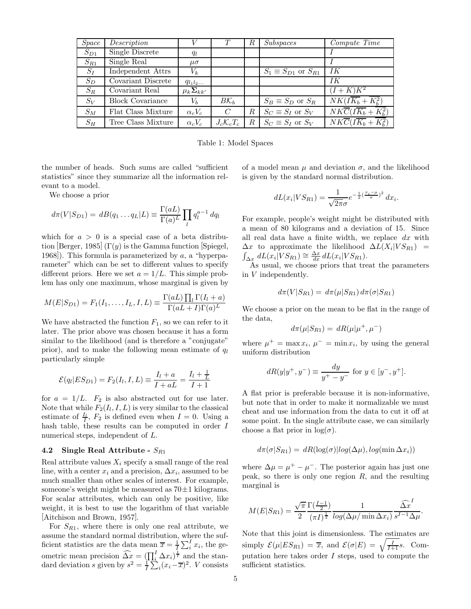| <i>Space</i> | Description             |                      |                         | R | Subspaces                       | Compute Time                                         |
|--------------|-------------------------|----------------------|-------------------------|---|---------------------------------|------------------------------------------------------|
| $S_{D1}$     | Single Discrete         | qı                   |                         |   |                                 |                                                      |
| $S_{R1}$     | Single Real             | $\mu\sigma$          |                         |   |                                 |                                                      |
| $S_I$        | Independent Attrs       | $V_k$                |                         |   | $S_1 \equiv S_{D1}$ or $S_{R1}$ | -IK                                                  |
| $S_D$        | Covariant Discrete      | $q_{l_1l_2\ldots}$   |                         |   |                                 | IК                                                   |
| $S_R$        | Covariant Real          | $\mu_k \Sigma_{kk'}$ |                         |   |                                 | $(I+K)\overline{K^2}$                                |
| $S_V$        | <b>Block Covariance</b> | $V_{b}$              | $B\mathcal{K}_b$        |   | $S_B \equiv S_D$ or $S_R$       | $NK(I\overline{K_b} + K_h^2)$                        |
| $S_M$        | Flat Class Mixture      | $\alpha_c V_c$       | $\mathcal{C}$           | R | $S_C \equiv S_I$ or $S_V$       | $\overline{NKC}(I\overline{K_b} + \overline{K^2_h})$ |
| $S_H$        | Tree Class Mixture      | $\alpha_c V_c$       | $J_c \mathcal{K}_c T_c$ | R | $S_C \equiv S_I$ or $S_V$       | $\overline{NKC}(I\overline{K_b} + \overline{K_b^2})$ |

Table 1: Model Spaces

the number of heads. Such sums are called "sufficient statistics" since they summarize all the information relevant to a model.

We choose a prior

$$
d\pi(V|S_{D1}) = dB(q_1 \dots q_L|L) \equiv \frac{\Gamma(aL)}{\Gamma(a)^L} \prod_l q_l^{a-1} dq_l
$$

which for  $a > 0$  is a special case of a beta distribution [Berger, 1985] (Γ(y) is the Gamma function [Spiegel, 1968). This formula is parameterized by  $a$ , a "hyperparameter" which can be set to different values to specify different priors. Here we set  $a = 1/L$ . This simple problem has only one maximum, whose marginal is given by

$$
M(E|S_{D1}) = F_1(I_1, \ldots, I_L, I, L) \equiv \frac{\Gamma(aL) \prod_l \Gamma(I_l + a)}{\Gamma(aL + I)\Gamma(a)^L}
$$

We have abstracted the function  $F_1$ , so we can refer to it later. The prior above was chosen because it has a form similar to the likelihood (and is therefore a "conjugate" prior), and to make the following mean estimate of  $q_l$ particularly simple

$$
\mathcal{E}(q_l | E S_{D1}) = F_2(I_l, I, L) \equiv \frac{I_l + a}{I + aL} = \frac{I_l + \frac{1}{L}}{I + 1}
$$

for  $a = 1/L$ .  $F_2$  is also abstracted out for use later. Note that while  $F_2(I_l, I, L)$  is very similar to the classical estimate of  $\frac{I_l}{I}$ ,  $F_2$  is defined even when  $I = 0$ . Using a hash table, these results can be computed in order I numerical steps, independent of L.

#### **4.2** Single Real Attribute -  $S_{R1}$

Real attribute values  $X_i$  specify a small range of the real line, with a center  $x_i$  and a precision,  $\Delta x_i$ , assumed to be much smaller than other scales of interest. For example, someone's weight might be measured as  $70 \pm 1$  kilograms. For scalar attributes, which can only be positive, like weight, it is best to use the logarithm of that variable [Aitchison and Brown, 1957].

For  $S_{R1}$ , where there is only one real attribute, we assume the standard normal distribution, where the sufficient statistics are the data mean  $\overline{x} = \frac{1}{I} \sum_{i}^{I} x_i$ , the geometric mean precision  $\widehat{\Delta x} = (\prod_i^I \Delta x_i)^{\frac{1}{I}}$  and the standard deviation s given by  $s^2 = \frac{1}{l} \sum_{i=1}^{l} (x_i - \overline{x})^2$ . V consists

of a model mean  $\mu$  and deviation  $\sigma$ , and the likelihood is given by the standard normal distribution.

$$
dL(x_i|VS_{R1}) = \frac{1}{\sqrt{2\pi}\sigma}e^{-\frac{1}{2}(\frac{x_i-\mu}{\sigma})^2}dx_i.
$$

For example, people's weight might be distributed with a mean of 80 kilograms and a deviation of 15. Since all real data have a finite width, we replace  $dx$  with  $\Delta x$  to approximate the likelihood  $\Delta L(X_i|VS_{R1})$  =  $\int_{\Delta x} dL(x_i|VS_{R1}) \cong \frac{\Delta x}{dx} dL(x_i|VS_{R1}).$ 

As usual, we choose priors that treat the parameters in V independently.

$$
d\pi(V|S_{R1}) = d\pi(\mu|S_{R1}) d\pi(\sigma|S_{R1})
$$

We choose a prior on the mean to be flat in the range of the data,

$$
d\pi(\mu|S_{R1}) = dR(\mu|\mu^+,\mu^-)
$$

where  $\mu^+ = \max x_i$ ,  $\mu^- = \min x_i$ , by using the general uniform distribution

$$
dR(y|y^+, y^-) \equiv \frac{dy}{y^+ - y^-} \text{ for } y \in [y^-, y^+].
$$

A flat prior is preferable because it is non-informative, but note that in order to make it normalizable we must cheat and use information from the data to cut it off at some point. In the single attribute case, we can similarly choose a flat prior in  $log(\sigma)$ .

$$
d\pi(\sigma|S_{R1}) = dR(\log(\sigma)|log(\Delta\mu), log(\min \Delta x_i))
$$

where  $\Delta \mu = \mu^+ - \mu^-$ . The posterior again has just one peak, so there is only one region  $R$ , and the resulting marginal is

$$
M(E|S_{R1})=\frac{\sqrt{\pi}}{2}\frac{\Gamma(\frac{I-1}{2})}{(\pi I)^{\frac{1}{2}}}\frac{1}{\log(\Delta\mu/\min \Delta x_i)}\frac{\widehat{\Delta x}^I}{s^{I-1}\Delta\mu}.
$$

Note that this joint is dimensionless. The estimates are simply  $\mathcal{E}(\mu|ES_{R1}) = \overline{x}$ , and  $\mathcal{E}(\sigma|E) = \sqrt{\frac{I}{I+1}}s$ . Computation here takes order I steps, used to compute the sufficient statistics.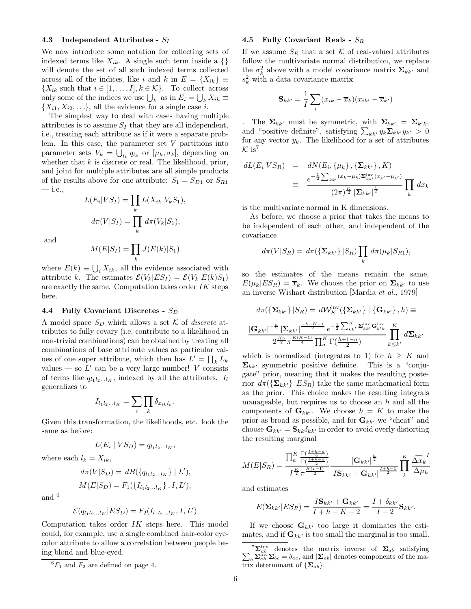# **4.3 Independent Attributes -** S<sup>I</sup>

We now introduce some notation for collecting sets of indexed terms like  $X_{ik}$ . A single such term inside a {} will denote the set of all such indexed terms collected across all of the indices, like i and k in  $E = \{X_{ik}\}\equiv$  $\{X_{ik} \text{ such that } i \in [1,\ldots,I], k \in \mathcal{K}\}.$  To collect across only some of the indices we use  $\bigcup_k$  as in  $E_i = \bigcup_k X_{ik} \equiv$  $\{X_{i1}, X_{i2}, \ldots\}$ , all the evidence for a single case *i*.

The simplest way to deal with cases having multiple attributes is to assume  $S_I$  that they are all independent, i.e., treating each attribute as if it were a separate problem. In this case, the parameter set  $V$  partitions into parameter sets  $V_k = \bigcup_{l_k} q_{l_k}$  or  $[\mu_k, \sigma_k]$ , depending on whether that  $k$  is discrete or real. The likelihood, prior, and joint for multiple attributes are all simple products of the results above for one attribute:  $S_1 = S_{D1}$  or  $S_{R1}$ — i.e.,

$$
L(E_i|VS_I) = \prod_k L(X_{ik}|V_kS_1),
$$
  

$$
d\pi(V|S_I) = \prod_k d\pi(V_k|S_1),
$$

and

$$
M(E|S_I) = \prod_k J(E(k)|S_1)
$$

where  $E(k) \equiv \bigcup_i X_{ik}$ , all the evidence associated with attribute k. The estimates  $\mathcal{E}(V_k|ES_I) = \mathcal{E}(V_k|E(k)S_1)$ are exactly the same. Computation takes order  $IK$  steps here.

#### **4.4 Fully Covariant Discretes -** S<sub>D</sub>

A model space  $S_D$  which allows a set K of *discrete* attributes to fully covary (i.e, contribute to a likelihood in non-trivial combinations) can be obtained by treating all combinations of base attribute values as particular values of one super attribute, which then has  $L' = \prod_k L_k$ values — so  $L'$  can be a very large number! V consists of terms like  $q_{l_1l_2...l_K}$ , indexed by all the attributes.  $I_l$ generalizes to

$$
I_{l_1l_2...l_K} = \sum_i \prod_k \delta_{x_{ik}l_k}.
$$

Given this transformation, the likelihoods, etc. look the same as before:

$$
L(E_i | VS_D) = q_{l_1l_2...l_K},
$$

where each  $l_k = X_{ik}$ ,

$$
d\pi(V|S_D) = dB(\{q_{l_1l_2...l_K}\} | L'),
$$
  

$$
M(E|S_D) = F_1(\{I_{l_1l_2...l_K}\}, I, L'),
$$

and <sup>6</sup>

$$
\mathcal{E}(q_{l_1l_2...l_K}|ES_D) = F_2(I_{l_1l_2...l_K}, I, L')
$$

Computation takes order  $IK$  steps here. This model could, for example, use a single combined hair-color eyecolor attribute to allow a correlation between people being blond and blue-eyed.

#### **4.5 Fully Covariant Reals -** S<sup>R</sup>

If we assume  $S_R$  that a set K of real-valued attributes follow the multivariate normal distribution, we replace the  $\sigma_k^2$  above with a model covariance matrix  $\Sigma_{kk'}$  and  $s_k^2$  with a data covariance matrix

$$
\mathbf{S}_{kk'} = \frac{1}{I} \sum_{i} (x_{ik} - \overline{x}_k)(x_{ik'} - \overline{x}_{k'})
$$

The  $\Sigma_{kk'}$  must be symmetric, with  $\Sigma_{kk'} = \Sigma_{k'k}$ , and "positive definite", satisfying  $\sum_{kk'} y_k \sum_{kk'} y_{k'} > 0$ for any vector  $y_k$ . The likelihood for a set of attributes  $\mathcal{K}$  is<sup>7</sup>

$$
dL(E_i|VS_R) = dN(E_i, \{\mu_k\}, \{\Sigma_{kk'}\}, K)
$$
  

$$
\equiv \frac{e^{-\frac{1}{2}\sum_{kk'}(x_k - \mu_k)\Sigma_{kk'}^{\text{inv}}(x_{k'} - \mu_{k'})}}{(2\pi)^{\frac{K}{2}}|\Sigma_{kk'}|^{\frac{1}{2}}}\prod_k dx_k
$$

is the multivariate normal in K dimensions.

As before, we choose a prior that takes the means to be independent of each other, and independent of the covariance

$$
d\pi(V|S_R) = d\pi(\left\{\mathbf{\Sigma}_{kk'}\right\}|S_R)\prod_k d\pi(\mu_k|S_{R1}),
$$

so the estimates of the means remain the same,  $E(\mu_k|ES_R) = \overline{x}_k$ . We choose the prior on  $\Sigma_{kk'}$  to use an inverse Wishart distribution [Mardia *et al.*, 1979]

$$
d\pi(\left\{\Sigma_{kk'}\right\}|S_R) = d\mathcal{W}_K^{\text{inv}}(\left\{\Sigma_{kk'}\right\} | \left\{\mathbf{G}_{kk'}\right\}, h) \equiv
$$

$$
\frac{|\mathbf{G}_{kk'}|^{-\frac{h}{2}} |\Sigma_{kk'}|^{\frac{-h-K-1}{2}} e^{-\frac{1}{2} \sum_{kk'}^K \Sigma_{kk'}^{\text{inv}} \mathbf{G}_{k'k}^{\text{inv}}}{2^{\frac{Kh}{2} \pi^{\frac{K(K-1)}{4}} \prod_a^K \Gamma(\frac{h+1-a}{2})} \prod_{k \leq k'}^K d\Sigma_{kk'}
$$

which is normalized (integrates to 1) for  $h \geq K$  and  $\Sigma_{kk'}$  symmetric positive definite. This is a "conjugate" prior, meaning that it makes the resulting posterior  $d\pi(\{\Sigma_{kk'}\} | ES_R)$  take the same mathematical form as the prior. This choice makes the resulting integrals manageable, but requires us to choose an  $h$  and all the components of  $\mathbf{G}_{kk'}$ . We choose  $h = K$  to make the prior as broad as possible, and for  $\mathbf{G}_{kk'}$  we "cheat" and choose  $\mathbf{G}_{kk'} = \mathbf{S}_{kk} \delta_{kk'}$  in order to avoid overly distorting the resulting marginal

$$
M(E|S_R) = \frac{\prod_{a}^{K} \frac{\Gamma(\frac{I+h-a}{2})}{\Gamma(\frac{1+h-a}{2})}}{I^{\frac{K}{2}} \pi^{\frac{K(I-1)}{2}}} \frac{|\mathbf{G}_{kk'}|^{\frac{h}{2}}}{|IS_{kk'} + \mathbf{G}_{kk'}|^{\frac{I+h-1}{2}}} \prod_{k}^{K} \frac{\widehat{\Delta x}_k}{\Delta \mu_k}
$$

and estimates

$$
E(\mathbf{\Sigma}_{kk'}|ES_R) = \frac{I\mathbf{S}_{kk'} + \mathbf{G}_{kk'}}{I + h - K - 2} = \frac{I + \delta_{kk'}}{I - 2}\mathbf{S}_{kk'}.
$$

If we choose  $\mathbf{G}_{kk'}$  too large it dominates the estimates, and if  $\mathbf{G}_{kk'}$  is too small the marginal is too small.

 ${}^{6}F_1$  and  $F_2$  are defined on page 4.

 ${}^{7}\Sigma_{ab}^{\text{inv}}$  denotes the matrix inverse of  $\Sigma_{ab}$  satisfying  $\sum_{b} \Sigma_{ab}^{\text{inv}} \Sigma_{bc} = \delta_{ac}$ , and  $|\Sigma_{ab}|$  denotes components of the matrix determinant of  $\{\mathbf\Sigma_{ab}\}.$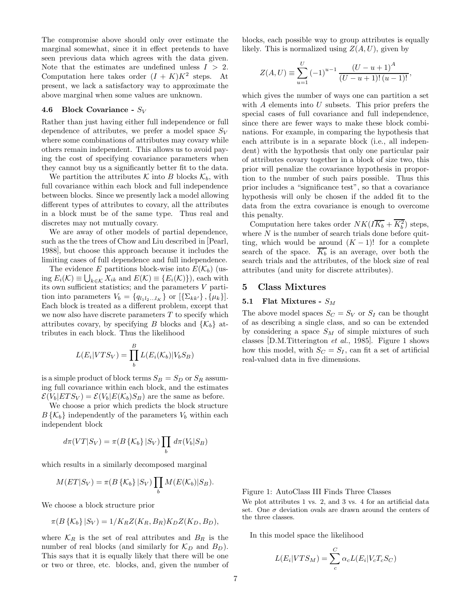The compromise above should only over estimate the marginal somewhat, since it in effect pretends to have seen previous data which agrees with the data given. Note that the estimates are undefined unless  $I > 2$ . Computation here takes order  $(I + K)K^2$  steps. At present, we lack a satisfactory way to approximate the above marginal when some values are unknown.

# **4.6 Block Covariance -** S<sup>V</sup>

Rather than just having either full independence or full dependence of attributes, we prefer a model space  $S_V$ where some combinations of attributes may covary while others remain independent. This allows us to avoid paying the cost of specifying covariance parameters when they cannot buy us a significantly better fit to the data.

We partition the attributes K into B blocks  $\mathcal{K}_b$ , with full covariance within each block and full independence between blocks. Since we presently lack a model allowing different types of attributes to covary, all the attributes in a block must be of the same type. Thus real and discretes may not mutually covary.

We are away of other models of partial dependence, such as the the trees of Chow and Liu described in [Pearl, 1988], but choose this approach because it includes the limiting cases of full dependence and full independence.

The evidence E partitions block-wise into  $E(\mathcal{K}_b)$  (using  $E_i(\mathcal{K}) \equiv \bigcup_{k \in \mathcal{K}} X_{ik}$  and  $E(\mathcal{K}) \equiv \{E_i(\mathcal{K})\}\)$ , each with its own sufficient statistics; and the parameters  $V$  partition into parameters  $V_b = \{q_{l_1l_2...l_K}\}\$  or  $[\{\Sigma_{kk'}\}, \{\mu_k\}].$ Each block is treated as a different problem, except that we now also have discrete parameters  $T$  to specify which attributes covary, by specifying B blocks and  $\{\mathcal{K}_b\}$  attributes in each block. Thus the likelihood

$$
L(E_i|VTS_V) = \prod_b^B L(E_i(\mathcal{K}_b)|V_bS_B)
$$

is a simple product of block terms  $S_B = S_D$  or  $S_R$  assuming full covariance within each block, and the estimates  $\mathcal{E}(V_b|ETS_V) = \mathcal{E}(V_b|E(\mathcal{K}_b)S_B)$  are the same as before.

We choose a prior which predicts the block structure  $B\{\mathcal{K}_b\}$  independently of the parameters  $V_b$  within each independent block

$$
d\pi(VT|S_V) = \pi(B\{\mathcal{K}_b\} | S_V) \prod_b d\pi(V_b|S_B)
$$

which results in a similarly decomposed marginal

$$
M(ET|S_V) = \pi(B\{\mathcal{K}_b\} | S_V) \prod_b M(E(\mathcal{K}_b) | S_B).
$$

We choose a block structure prior

$$
\pi(B\{\mathcal{K}_b\}|S_V) = 1/K_R Z(K_R, B_R)K_D Z(K_D, B_D),
$$

where  $\mathcal{K}_R$  is the set of real attributes and  $B_R$  is the number of real blocks (and similarly for  $\mathcal{K}_D$  and  $B_D$ ). This says that it is equally likely that there will be one or two or three, etc. blocks, and, given the number of blocks, each possible way to group attributes is equally likely. This is normalized using  $Z(A, U)$ , given by

$$
Z(A, U) \equiv \sum_{u=1}^{U} (-1)^{u-1} \frac{(U - u + 1)^{A}}{(U - u + 1)!(u - 1)!},
$$

which gives the number of ways one can partition a set with  $A$  elements into  $U$  subsets. This prior prefers the special cases of full covariance and full independence, since there are fewer ways to make these block combinations. For example, in comparing the hypothesis that each attribute is in a separate block (i.e., all independent) with the hypothesis that only one particular pair of attributes covary together in a block of size two, this prior will penalize the covariance hypothesis in proportion to the number of such pairs possible. Thus this prior includes a "significance test", so that a covariance hypothesis will only be chosen if the added fit to the data from the extra covariance is enough to overcome this penalty.

Computation here takes order  $NK(\overline{IK_b} + K_b^2)$  steps, where  $N$  is the number of search trials done before quitting, which would be around  $(K-1)!$  for a complete search of the space.  $\overline{K_b}$  is an average, over both the search trials and the attributes, of the block size of real attributes (and unity for discrete attributes).

# **5 Class Mixtures**

# **5.1 Flat Mixtures -**  $S_M$

The above model spaces  $S_C = S_V$  or  $S_I$  can be thought of as describing a single class, and so can be extended by considering a space  $S_M$  of simple mixtures of such classes [D.M.Titterington *et al.*, 1985]. Figure 1 shows how this model, with  $S_C = S_I$ , can fit a set of artificial real-valued data in five dimensions.

Figure 1: AutoClass III Finds Three Classes

We plot attributes 1 vs. 2, and 3 vs. 4 for an artificial data set. One  $\sigma$  deviation ovals are drawn around the centers of the three classes.

In this model space the likelihood

$$
L(E_i|VTS_M) = \sum_c^C \alpha_c L(E_i|V_cT_cS_C)
$$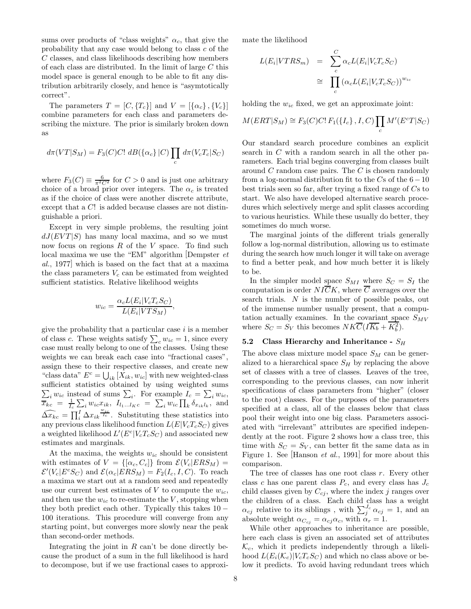sums over products of "class weights"  $\alpha_c$ , that give the probability that any case would belong to class c of the C classes, and class likelihoods describing how members of each class are distributed. In the limit of large C this model space is general enough to be able to fit any distribution arbitrarily closely, and hence is "asymtotically correct".

The parameters  $T = [C, \{T_c\}]$  and  $V = [\{\alpha_c\}, \{V_c\}]$ combine parameters for each class and parameters describing the mixture. The prior is similarly broken down as

$$
d\pi(VT|S_M) = F_3(C)C! \ dB(\{\alpha_c\} | C) \prod_c d\pi(V_cT_c|S_C)
$$

where  $F_3(C) \equiv \frac{6}{\pi^2 C^2}$  for  $C > 0$  and is just one arbitrary choice of a broad prior over integers. The  $\alpha_c$  is treated as if the choice of class were another discrete attribute, except that a C! is added because classes are not distinguishable a priori.

Except in very simple problems, the resulting joint  $dJ(EVT|S)$  has many local maxima, and so we must now focus on regions  $R$  of the  $V$  space. To find such local maxima we use the "EM" algorithm [Dempster *et al.*, 1977] which is based on the fact that at a maxima the class parameters  $V_c$  can be estimated from weighted sufficient statistics. Relative likelihood weights

$$
w_{ic} = \frac{\alpha_c L(E_i | V_c T_c S_C)}{L(E_i | V T S_M)},
$$

give the probability that a particular case  $i$  is a member of class c. These weights satisfy  $\sum_{c} w_{ic} = 1$ , since every case must really belong to one of the classes. Using these weights we can break each case into "fractional cases", assign these to their respective classes, and create new "class data"  $E^c = \bigcup_{ik} [\hat{X}_{ik}, w_{ic}]$  with new weighted-class sufficient statistics obtained by using weighted sums  $\sum_i w_{ic}$  instead of sums  $\sum_i$ . For example  $I_c = \sum_i w_{ic}$ ,  $\overline{\overline{x}}_{kc} = \frac{1}{I_c} \sum_i w_{ic} x_{ik}, I_{l_1...l_Kc} = \sum_i w_{ic} \prod_k \delta_{x_{ik}} \overline{I_k}$  and  $\widehat{\Delta x_{kc}} = \prod_{i=1}^{l} \Delta x_{ik}^{\frac{w_{ic}}{l_c}}$ . Substituting these statistics into any previous class likelihood function  $L(E|V_cT_cS_C)$  gives a weighted likelihood  $L'(E<sup>c</sup>|V_cT_cS_C)$  and associated new estimates and marginals.

At the maxima, the weights  $w_{ic}$  should be consistent with estimates of  $V = \{[\alpha_c, C_c]\}\$ from  $\mathcal{E}(V_c|ERS_M)$  =  $\mathcal{E}'(V_c|E^cS_C)$  and  $\mathcal{E}(\alpha_c|ERS_M) = F_2(I_c, I, C)$ . To reach a maxima we start out at a random seed and repeatedly use our current best estimates of  $V$  to compute the  $w_{ic}$ , and then use the  $w_{ic}$  to re-estimate the V, stopping when they both predict each other. Typically this takes  $10 -$ 100 iterations. This procedure will converge from any starting point, but converges more slowly near the peak than second-order methods.

Integrating the joint in  $R$  can't be done directly because the product of a sum in the full likelihood is hard to decompose, but if we use fractional cases to approximate the likelihood

$$
L(E_i|VTRS_m) = \sum_{c}^{C} \alpha_c L(E_i|V_cT_cS_C)
$$
  

$$
\approx \prod_{c} (\alpha_c L(E_i|V_cT_cS_C))^{w_{ic}}
$$

holding the  $w_{ic}$  fixed, we get an approximate joint:

$$
M(ERT|S_M) \cong F_3(C)C! F_1(\lbrace I_c \rbrace, I, C) \prod_c M'(E^c T|S_C)
$$

Our standard search procedure combines an explicit search in C with a random search in all the other parameters. Each trial begins converging from classes built around  $C$  random case pairs. The  $C$  is chosen randomly from a log-normal distribution fit to the  $Cs$  of the  $6-10$ best trials seen so far, after trying a fixed range of Cs to start. We also have developed alternative search procedures which selectively merge and split classes according to various heuristics. While these usually do better, they sometimes do much worse.

The marginal joints of the different trials generally follow a log-normal distribution, allowing us to estimate during the search how much longer it will take on average to find a better peak, and how much better it is likely to be.

In the simpler model space  $S_{MI}$  where  $S_C = S_I$  the computation is order  $NI\overline{C}K$ , where  $\overline{C}$  averages over the search trials. N is the number of possible peaks, out of the immense number usually present, that a computation actually examines. In the covariant space  $S_{MV}$ where  $S_C = S_V$  this becomes  $NKT(T\overline{K_b} + K_b^2)$ .

# 5.2 Class Hierarchy and Inheritance -  $S_H$

The above class mixture model space  $S_M$  can be generalized to a hierarchical space  $S_H$  by replacing the above set of classes with a tree of classes. Leaves of the tree, corresponding to the previous classes, can now inherit specifications of class parameters from "higher" (closer to the root) classes. For the purposes of the parameters specified at a class, all of the classes below that class pool their weight into one big class. Parameters associated with "irrelevant" attributes are specified independently at the root. Figure 2 shows how a class tree, this time with  $S_C = S_V$ , can better fit the same data as in Figure 1. See [Hanson *et al.*, 1991] for more about this comparison.

The tree of classes has one root class  $r$ . Every other class c has one parent class  $P_c$ , and every class has  $J_c$ child classes given by  $C_{cj}$ , where the index j ranges over the children of a class. Each child class has a weight  $\alpha_{cj}$  relative to its siblings, with  $\sum_{i}^{J_c} \alpha_{cj} = 1$ , and an absolute weight  $\alpha_{C_{cj}} = \alpha_{cj} \alpha_c$ , with  $\alpha_r = 1$ .

While other approaches to inheritance are possible, here each class is given an associated set of attributes  $\mathcal{K}_c$ , which it predicts independently through a likelihood  $L(E_i(\mathcal{K}_c)|V_cT_cS_C)$  and which no class above or below it predicts. To avoid having redundant trees which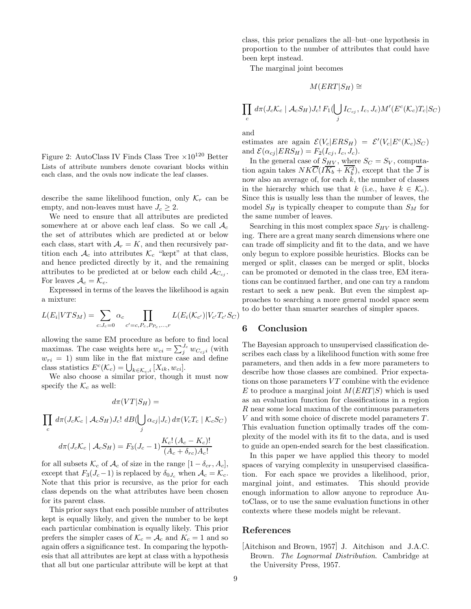Figure 2: AutoClass IV Finds Class Tree  $\times 10^{120}$  Better Lists of attribute numbers denote covariant blocks within each class, and the ovals now indicate the leaf classes.

describe the same likelihood function, only  $\mathcal{K}_r$  can be empty, and non-leaves must have  $J_c \geq 2$ .

We need to ensure that all attributes are predicted somewhere at or above each leaf class. So we call  $A_c$ the set of attributes which are predicted at or below each class, start with  $A_r = K$ , and then recursively partition each  $A_c$  into attributes  $\mathcal{K}_c$  "kept" at that class, and hence predicted directly by it, and the remaining attributes to be predicted at or below each child  $\mathcal{A}_{C_{ci}}$ . For leaves  $A_c = \mathcal{K}_c$ .

Expressed in terms of the leaves the likelihood is again a mixture:

$$
L(E_i|VTS_M) = \sum_{c:J_c=0} \alpha_c \prod_{c'=c,P_c,P_{P_c},...,r} L(E_i(\mathcal{K}_{c'})|V_{c'}T_{c'}S_C)
$$

allowing the same EM procedure as before to find local maximas. The case weights here  $w_{ci} = \sum_{i}^{J_c} w_{C_{cj}i}$  (with  $w_{ri} = 1$ ) sum like in the flat mixture case and define class statistics  $E^c(\mathcal{K}_c) = \bigcup_{k \in \mathcal{K}_c, i} [X_{ik}, w_{ci}].$ 

We also choose a similar prior, though it must now specify the  $\mathcal{K}_c$  as well:

$$
d\pi(VT|S_H) =
$$

$$
\prod_c d\pi (J_c \mathcal{K}_c \mid \mathcal{A}_c S_H) J_c! \ dB(\bigcup_j \alpha_{cj} | J_c) d\pi (V_c T_c \mid \mathcal{K}_c S_C)
$$

$$
d\pi (J_c \mathcal{K}_c \mid \mathcal{A}_c S_H) = F_3 (J_c - 1) \frac{K_c! \left( A_c - K_c \right)!}{\left( A_c + \delta_{rc} \right) A_c!}
$$

for all subsets  $\mathcal{K}_c$  of  $\mathcal{A}_c$  of size in the range  $[1 - \delta_{cr}, A_c]$ , except that  $F_3(J_c-1)$  is replaced by  $\delta_{0J_c}$  when  $\mathcal{A}_c = \mathcal{K}_c$ . Note that this prior is recursive, as the prior for each class depends on the what attributes have been chosen for its parent class.

This prior says that each possible number of attributes kept is equally likely, and given the number to be kept each particular combination is equally likely. This prior prefers the simpler cases of  $\mathcal{K}_c = \mathcal{A}_c$  and  $K_c = 1$  and so again offers a significance test. In comparing the hypothesis that all attributes are kept at class with a hypothesis that all but one particular attribute will be kept at that class, this prior penalizes the all–but–one hypothesis in proportion to the number of attributes that could have been kept instead.

The marginal joint becomes

$$
M(ERT|S_H) \cong
$$

$$
\prod_c d\pi (J_c \mathcal{K}_c \mid \mathcal{A}_c S_H) J_c! F_1(\bigcup_j I_{C_{cj}}, I_c, J_c) M' (E^c(\mathcal{K}_c)T_c | S_C)
$$

and

estimates are again  $\mathcal{E}(V_c|ERS_H) = \mathcal{E}'(V_c|E^c(\mathcal{K}_c)S_C)$ and  $\mathcal{E}(\alpha_{cj} | ERS_H) = F_2(I_{cj}, I_c, J_c)$ .

In the general case of  $S_{HV}$ , where  $S_C = S_V$ , computation again takes  $NK\overline{C}(I\overline{K_b} + K_b^2)$ , except that the  $\overline{J}$  is now also an average of, for each  $k$ , the number of classes in the hierarchy which use that k (i.e., have  $k \in \mathcal{K}_c$ ). Since this is usually less than the number of leaves, the model  $S_H$  is typically cheaper to compute than  $S_M$  for the same number of leaves.

Searching in this most complex space  $S_{HV}$  is challenging. There are a great many search dimensions where one can trade off simplicity and fit to the data, and we have only begun to explore possible heuristics. Blocks can be merged or split, classes can be merged or split, blocks can be promoted or demoted in the class tree, EM iterations can be continued farther, and one can try a random restart to seek a new peak. But even the simplest approaches to searching a more general model space seem to do better than smarter searches of simpler spaces.

## **6 Conclusion**

The Bayesian approach to unsupervised classification describes each class by a likelihood function with some free parameters, and then adds in a few more parameters to describe how those classes are combined. Prior expectations on those parameters  $VT$  combine with the evidence E to produce a marginal joint  $M(ERT|S)$  which is used as an evaluation function for classifications in a region R near some local maxima of the continuous parameters V and with some choice of discrete model parameters T. This evaluation function optimally trades off the complexity of the model with its fit to the data, and is used to guide an open-ended search for the best classification.

In this paper we have applied this theory to model spaces of varying complexity in unsupervised classification. For each space we provides a likelihood, prior, marginal joint, and estimates. This should provide enough information to allow anyone to reproduce AutoClass, or to use the same evaluation functions in other contexts where these models might be relevant.

# **References**

[Aitchison and Brown, 1957] J. Aitchison and J.A.C. Brown. *The Lognormal Distribution*. Cambridge at the University Press, 1957.